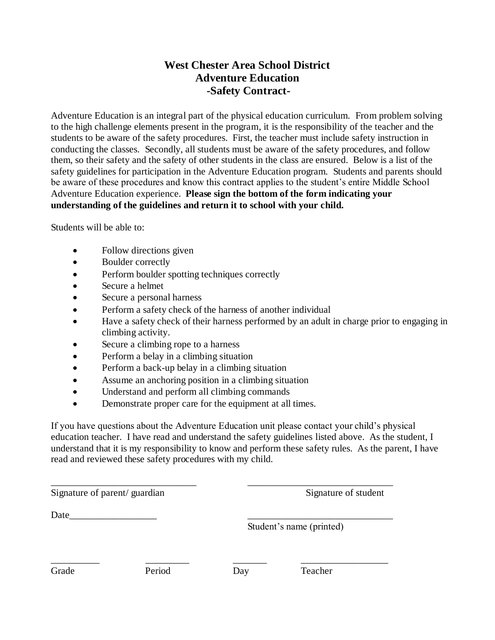## **West Chester Area School District Adventure Education -Safety Contract-**

Adventure Education is an integral part of the physical education curriculum. From problem solving to the high challenge elements present in the program, it is the responsibility of the teacher and the students to be aware of the safety procedures. First, the teacher must include safety instruction in conducting the classes. Secondly, all students must be aware of the safety procedures, and follow them, so their safety and the safety of other students in the class are ensured. Below is a list of the safety guidelines for participation in the Adventure Education program. Students and parents should be aware of these procedures and know this contract applies to the student's entire Middle School Adventure Education experience. **Please sign the bottom of the form indicating your understanding of the guidelines and return it to school with your child.**

Students will be able to:

- Follow directions given
- Boulder correctly
- Perform boulder spotting techniques correctly
- Secure a helmet
- Secure a personal harness
- Perform a safety check of the harness of another individual
- Have a safety check of their harness performed by an adult in charge prior to engaging in climbing activity.
- Secure a climbing rope to a harness
- Perform a belay in a climbing situation
- Perform a back-up belay in a climbing situation
- Assume an anchoring position in a climbing situation
- Understand and perform all climbing commands
- Demonstrate proper care for the equipment at all times.

If you have questions about the Adventure Education unit please contact your child's physical education teacher. I have read and understand the safety guidelines listed above. As the student, I understand that it is my responsibility to know and perform these safety rules. As the parent, I have read and reviewed these safety procedures with my child.

| Signature of parent/guardian |        | Signature of student |                          |  |
|------------------------------|--------|----------------------|--------------------------|--|
| Date                         |        |                      |                          |  |
|                              |        |                      | Student's name (printed) |  |
|                              |        |                      |                          |  |
| Grade                        | Period | Day                  | Teacher                  |  |